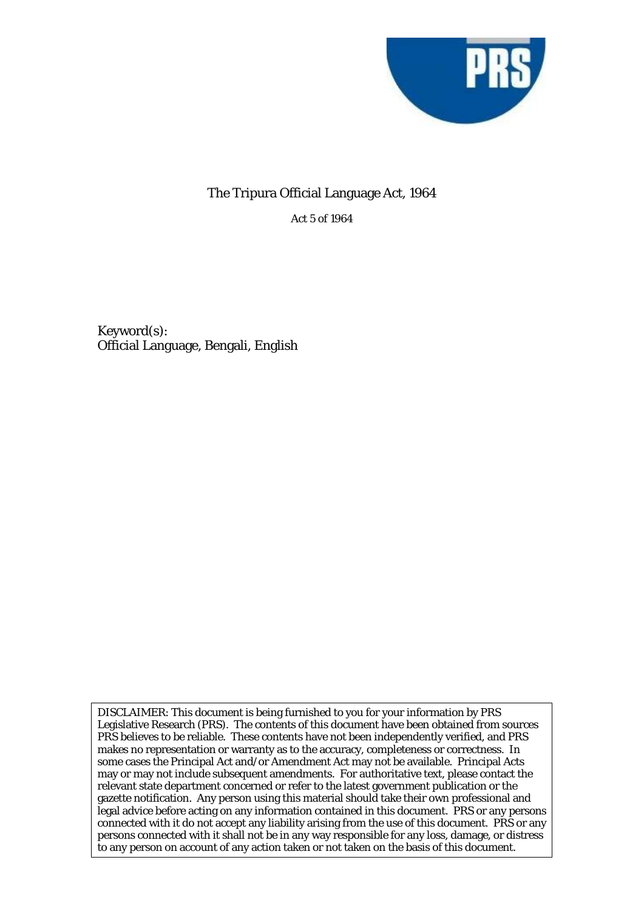

## The Tripura Official Language Act, 1964

Act 5 of 1964

Keyword(s): Official Language, Bengali, English

DISCLAIMER: This document is being furnished to you for your information by PRS Legislative Research (PRS). The contents of this document have been obtained from sources PRS believes to be reliable. These contents have not been independently verified, and PRS makes no representation or warranty as to the accuracy, completeness or correctness. In some cases the Principal Act and/or Amendment Act may not be available. Principal Acts may or may not include subsequent amendments. For authoritative text, please contact the relevant state department concerned or refer to the latest government publication or the gazette notification. Any person using this material should take their own professional and legal advice before acting on any information contained in this document. PRS or any persons connected with it do not accept any liability arising from the use of this document. PRS or any persons connected with it shall not be in any way responsible for any loss, damage, or distress to any person on account of any action taken or not taken on the basis of this document.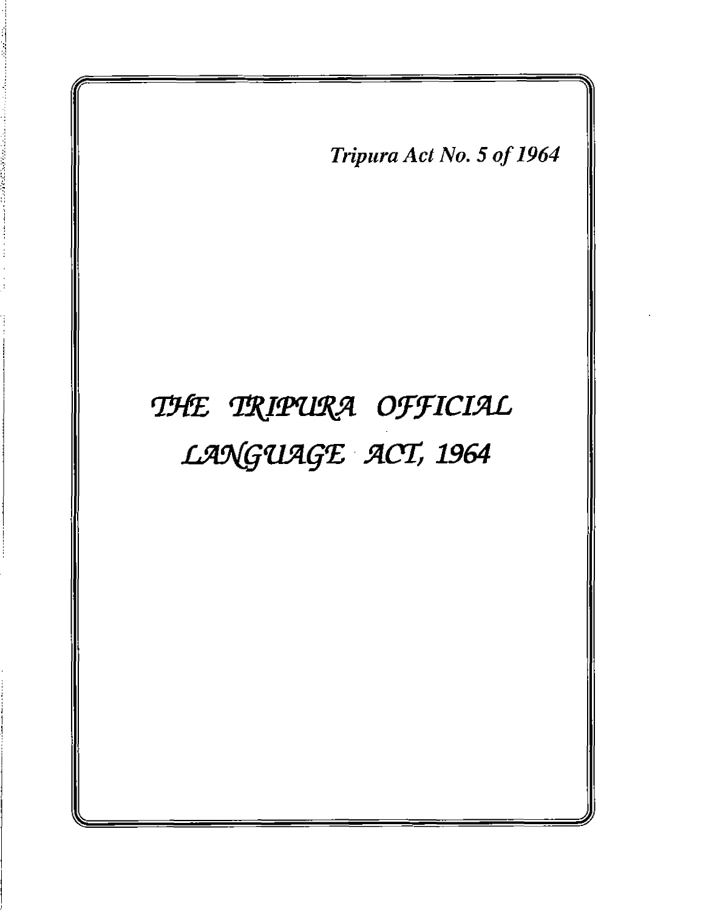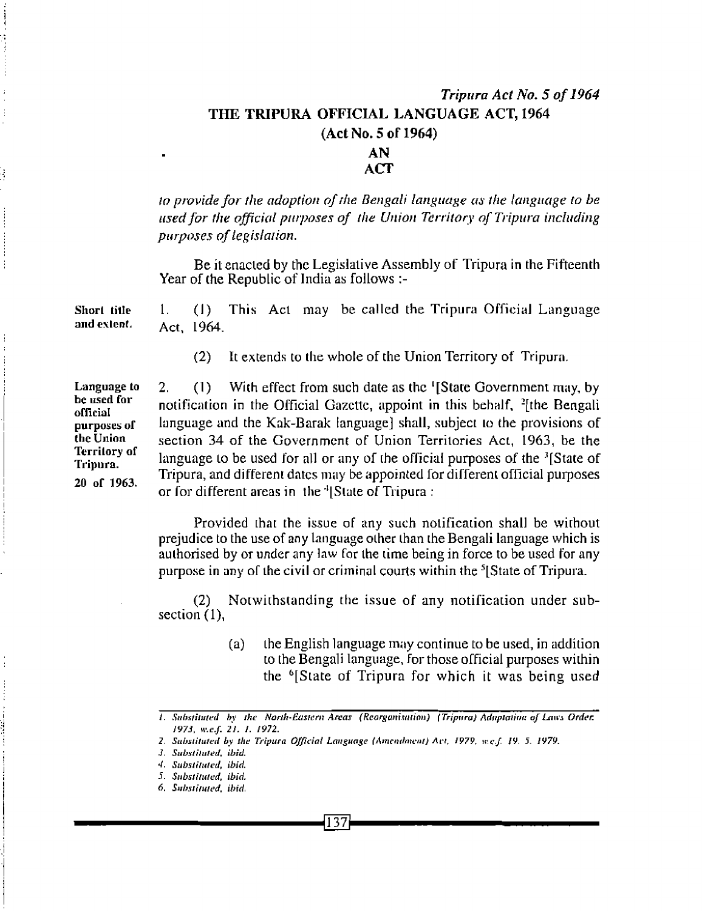## Tripura Act No. 5 of 1964 THE TRIPURA OFFICIAL LANGUAGE ACT, 1964  $(Act No. 5 of 1964)$ **AN**

## **ACT**

to provide for the adoption of the Bengali language as the language to be used for the official purposes of the Union Territory of Tripura including purposes of legislation.

Be it enacted by the Legislative Assembly of Tripura in the Fifteenth Year of the Republic of India as follows :-

This Act may be called the Tripura Official Language  $\mathbf{1}$ Short title  $(1)$ and extent. Act. 1964.

> It extends to the whole of the Union Territory of Tripura.  $(2)$

With effect from such date as the 'IState Government may, by  $2<sub>1</sub>$  $(1)$ notification in the Official Gazette, appoint in this behalf, <sup>2</sup>[the Bengali language and the Kak-Barak language] shall, subject to the provisions of section 34 of the Government of Union Territories Act, 1963, be the language to be used for all or any of the official purposes of the <sup>3</sup>[State of Tripura, and different dates may be appointed for different official purposes or for different areas in the <sup>4</sup> State of Tripura:

Provided that the issue of any such notification shall be without prejudice to the use of any language other than the Bengali language which is authorised by or under any law for the time being in force to be used for any purpose in any of the civil or criminal courts within the <sup>5</sup> State of Tripura.

Notwithstanding the issue of any notification under sub- $(2)$ section  $(1)$ .

> the English language may continue to be used, in addition  $(a)$ to the Bengali language, for those official purposes within the <sup>6</sup>State of Tripura for which it was being used

**Language to** be used for official purposes of the Union **Territory of** Tripura. 20 of 1963.

ą

<sup>1.</sup> Substituted by the North-Eastern Areas (Reorganisation) (Tripura) Aduptation of Laws Order. 1973, w.e.f. 21, 1, 1972.

<sup>2.</sup> Substituted by the Tripura Official Language (Amendment) Act, 1979, w.e.f. 19, 5, 1979.

<sup>3.</sup> Substituted, ibid.

<sup>4.</sup> Substituted, ibid.

<sup>5.</sup> Substituted, ibid.

<sup>6.</sup> Substituted, ibid.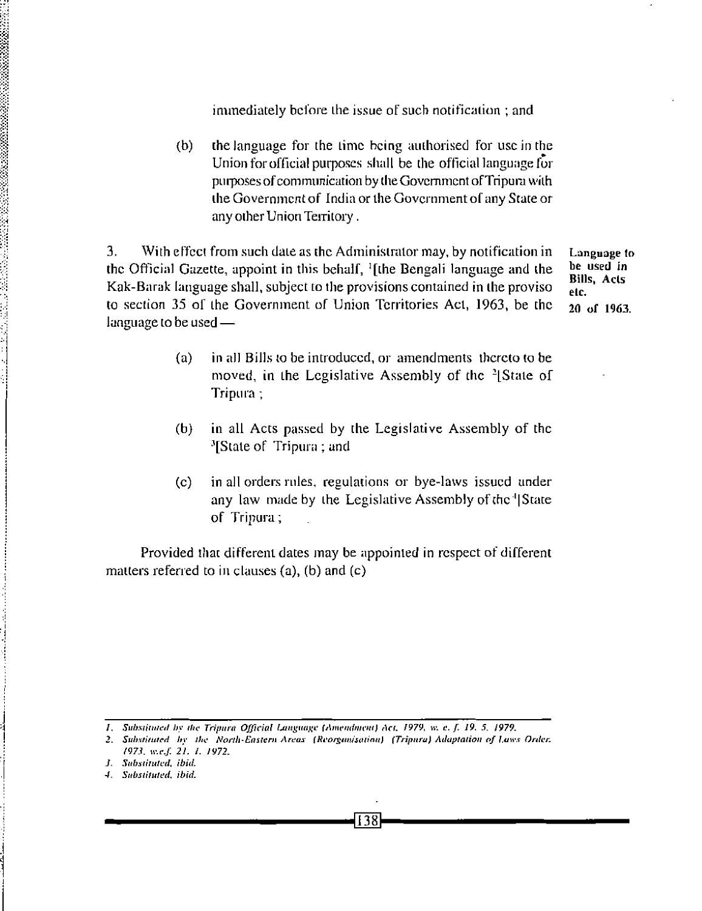immediately before the issue of such notification; and

the language for the time being authorised for use in the  $(b)$ Union for official purposes shall be the official language for purposes of communication by the Government of Tripura with the Government of India or the Government of any State or any other Union Territory.

3. With effect from such date as the Administrator may, by notification in the Official Gazette, appoint in this behalf, <sup>1</sup>[the Bengali language and the Kak-Barak language shall, subject to the provisions contained in the proviso to section 35 of the Government of Union Territories Act, 1963, be the language to be used -

Language to be used in **Bills. Acts** elc. 20 of 1963.

- $(a)$ in all Bills to be introduced, or amendments thereto to be moved, in the Legislative Assembly of the <sup>2</sup>[State of Tripura;
- $(b)$ in all Acts passed by the Legislative Assembly of the <sup>3</sup>[State of Tripura; and
- in all orders rules, regulations or bye-laws issued under  $(c)$ any law made by the Legislative Assembly of the 'State' of Tripura;

Provided that different dates may be appointed in respect of different matters referred to in clauses  $(a)$ ,  $(b)$  and  $(c)$ 

1. Substituted by the Tripura Official Language (Amendment) Act. 1979, w. e. f. 19. 5, 1979,

138

<sup>2.</sup> Substituted by the North-Eastern Areas (Reorganisation) (Tripura) Adaptation of Laws Order. 1973, w.e.f. 21, 1, 1972,

J. Substituted, ibid.

<sup>4.</sup> Substituted, ibid.